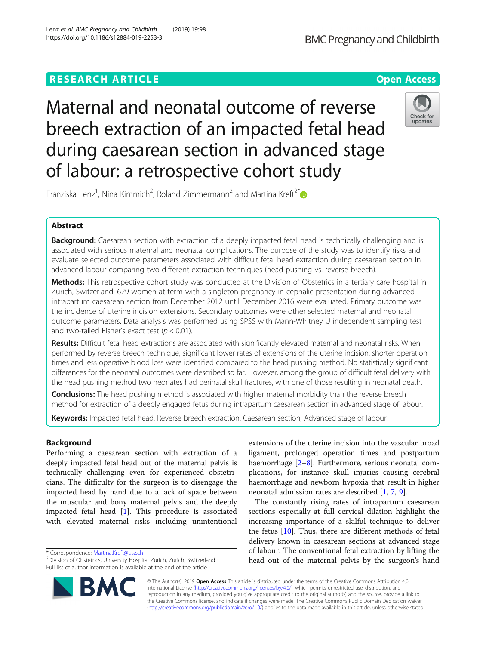# **RESEARCH ARTICLE Example 2014 12:30 The Contract of Contract ACCESS**

Maternal and neonatal outcome of reverse breech extraction of an impacted fetal head during caesarean section in advanced stage of labour: a retrospective cohort study



Franziska Lenz<sup>1</sup>, Nina Kimmich<sup>2</sup>, Roland Zimmermann<sup>2</sup> and Martina Kreft<sup>2\*</sup>

## Abstract

Background: Caesarean section with extraction of a deeply impacted fetal head is technically challenging and is associated with serious maternal and neonatal complications. The purpose of the study was to identify risks and evaluate selected outcome parameters associated with difficult fetal head extraction during caesarean section in advanced labour comparing two different extraction techniques (head pushing vs. reverse breech).

Methods: This retrospective cohort study was conducted at the Division of Obstetrics in a tertiary care hospital in Zurich, Switzerland. 629 women at term with a singleton pregnancy in cephalic presentation during advanced intrapartum caesarean section from December 2012 until December 2016 were evaluated. Primary outcome was the incidence of uterine incision extensions. Secondary outcomes were other selected maternal and neonatal outcome parameters. Data analysis was performed using SPSS with Mann-Whitney U independent sampling test and two-tailed Fisher's exact test ( $p < 0.01$ ).

Results: Difficult fetal head extractions are associated with significantly elevated maternal and neonatal risks. When performed by reverse breech technique, significant lower rates of extensions of the uterine incision, shorter operation times and less operative blood loss were identified compared to the head pushing method. No statistically significant differences for the neonatal outcomes were described so far. However, among the group of difficult fetal delivery with the head pushing method two neonates had perinatal skull fractures, with one of those resulting in neonatal death.

**Conclusions:** The head pushing method is associated with higher maternal morbidity than the reverse breech method for extraction of a deeply engaged fetus during intrapartum caesarean section in advanced stage of labour.

Keywords: Impacted fetal head, Reverse breech extraction, Caesarean section, Advanced stage of labour

## Background

Performing a caesarean section with extraction of a deeply impacted fetal head out of the maternal pelvis is technically challenging even for experienced obstetricians. The difficulty for the surgeon is to disengage the impacted head by hand due to a lack of space between the muscular and bony maternal pelvis and the deeply impacted fetal head [[1\]](#page-6-0). This procedure is associated with elevated maternal risks including unintentional

\* Correspondence: [Martina.Kreft@usz.ch](mailto:Martina.Kreft@usz.ch) <sup>2</sup>



The constantly rising rates of intrapartum caesarean sections especially at full cervical dilation highlight the increasing importance of a skilful technique to deliver the fetus [\[10](#page-7-0)]. Thus, there are different methods of fetal delivery known in caesarean sections at advanced stage of labour. The conventional fetal extraction by lifting the head out of the maternal pelvis by the surgeon's hand

© The Author(s). 2019 Open Access This article is distributed under the terms of the Creative Commons Attribution 4.0 International License [\(http://creativecommons.org/licenses/by/4.0/](http://creativecommons.org/licenses/by/4.0/)), which permits unrestricted use, distribution, and reproduction in any medium, provided you give appropriate credit to the original author(s) and the source, provide a link to the Creative Commons license, and indicate if changes were made. The Creative Commons Public Domain Dedication waiver [\(http://creativecommons.org/publicdomain/zero/1.0/](http://creativecommons.org/publicdomain/zero/1.0/)) applies to the data made available in this article, unless otherwise stated.



<sup>&</sup>lt;sup>2</sup>Division of Obstetrics, University Hospital Zurich, Zurich, Switzerland Full list of author information is available at the end of the article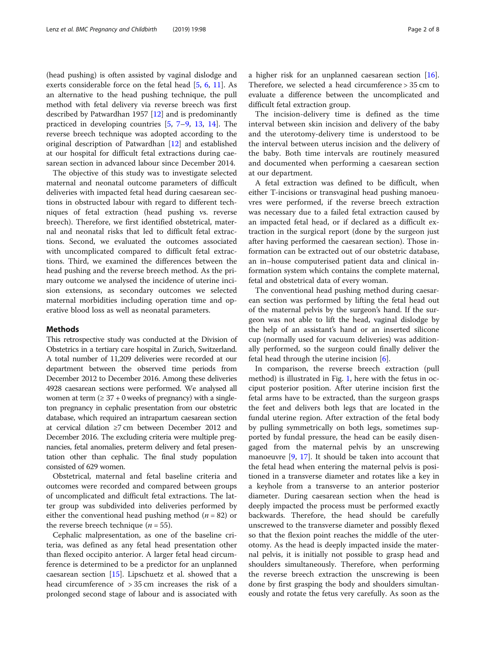(head pushing) is often assisted by vaginal dislodge and exerts considerable force on the fetal head [\[5,](#page-7-0) [6,](#page-7-0) [11\]](#page-7-0). As an alternative to the head pushing technique, the pull method with fetal delivery via reverse breech was first described by Patwardhan 1957 [[12\]](#page-7-0) and is predominantly practiced in developing countries [[5,](#page-7-0) [7](#page-7-0)–[9,](#page-7-0) [13](#page-7-0), [14\]](#page-7-0). The reverse breech technique was adopted according to the original description of Patwardhan [\[12](#page-7-0)] and established at our hospital for difficult fetal extractions during caesarean section in advanced labour since December 2014.

The objective of this study was to investigate selected maternal and neonatal outcome parameters of difficult deliveries with impacted fetal head during caesarean sections in obstructed labour with regard to different techniques of fetal extraction (head pushing vs. reverse breech). Therefore, we first identified obstetrical, maternal and neonatal risks that led to difficult fetal extractions. Second, we evaluated the outcomes associated with uncomplicated compared to difficult fetal extractions. Third, we examined the differences between the head pushing and the reverse breech method. As the primary outcome we analysed the incidence of uterine incision extensions, as secondary outcomes we selected maternal morbidities including operation time and operative blood loss as well as neonatal parameters.

#### Methods

This retrospective study was conducted at the Division of Obstetrics in a tertiary care hospital in Zurich, Switzerland. A total number of 11,209 deliveries were recorded at our department between the observed time periods from December 2012 to December 2016. Among these deliveries 4928 caesarean sections were performed. We analysed all women at term  $(≥ 37 + 0$  weeks of pregnancy) with a singleton pregnancy in cephalic presentation from our obstetric database, which required an intrapartum caesarean section at cervical dilation ≥7 cm between December 2012 and December 2016. The excluding criteria were multiple pregnancies, fetal anomalies, preterm delivery and fetal presentation other than cephalic. The final study population consisted of 629 women.

Obstetrical, maternal and fetal baseline criteria and outcomes were recorded and compared between groups of uncomplicated and difficult fetal extractions. The latter group was subdivided into deliveries performed by either the conventional head pushing method ( $n = 82$ ) or the reverse breech technique ( $n = 55$ ).

Cephalic malpresentation, as one of the baseline criteria, was defined as any fetal head presentation other than flexed occipito anterior. A larger fetal head circumference is determined to be a predictor for an unplanned caesarean section [[15\]](#page-7-0). Lipschuetz et al. showed that a head circumference of > 35 cm increases the risk of a prolonged second stage of labour and is associated with a higher risk for an unplanned caesarean section [\[16](#page-7-0)]. Therefore, we selected a head circumference > 35 cm to evaluate a difference between the uncomplicated and difficult fetal extraction group.

The incision-delivery time is defined as the time interval between skin incision and delivery of the baby and the uterotomy-delivery time is understood to be the interval between uterus incision and the delivery of the baby. Both time intervals are routinely measured and documented when performing a caesarean section at our department.

A fetal extraction was defined to be difficult, when either T-incisions or transvaginal head pushing manoeuvres were performed, if the reverse breech extraction was necessary due to a failed fetal extraction caused by an impacted fetal head, or if declared as a difficult extraction in the surgical report (done by the surgeon just after having performed the caesarean section). Those information can be extracted out of our obstetric database, an in–house computerised patient data and clinical information system which contains the complete maternal, fetal and obstetrical data of every woman.

The conventional head pushing method during caesarean section was performed by lifting the fetal head out of the maternal pelvis by the surgeon's hand. If the surgeon was not able to lift the head, vaginal dislodge by the help of an assistant's hand or an inserted silicone cup (normally used for vacuum deliveries) was additionally performed, so the surgeon could finally deliver the fetal head through the uterine incision [[6](#page-7-0)].

In comparison, the reverse breech extraction (pull method) is illustrated in Fig. [1](#page-2-0), here with the fetus in occiput posterior position. After uterine incision first the fetal arms have to be extracted, than the surgeon grasps the feet and delivers both legs that are located in the fundal uterine region. After extraction of the fetal body by pulling symmetrically on both legs, sometimes supported by fundal pressure, the head can be easily disengaged from the maternal pelvis by an unscrewing manoeuvre [[9,](#page-7-0) [17](#page-7-0)]. It should be taken into account that the fetal head when entering the maternal pelvis is positioned in a transverse diameter and rotates like a key in a keyhole from a transverse to an anterior posterior diameter. During caesarean section when the head is deeply impacted the process must be performed exactly backwards. Therefore, the head should be carefully unscrewed to the transverse diameter and possibly flexed so that the flexion point reaches the middle of the uterotomy. As the head is deeply impacted inside the maternal pelvis, it is initially not possible to grasp head and shoulders simultaneously. Therefore, when performing the reverse breech extraction the unscrewing is been done by first grasping the body and shoulders simultaneously and rotate the fetus very carefully. As soon as the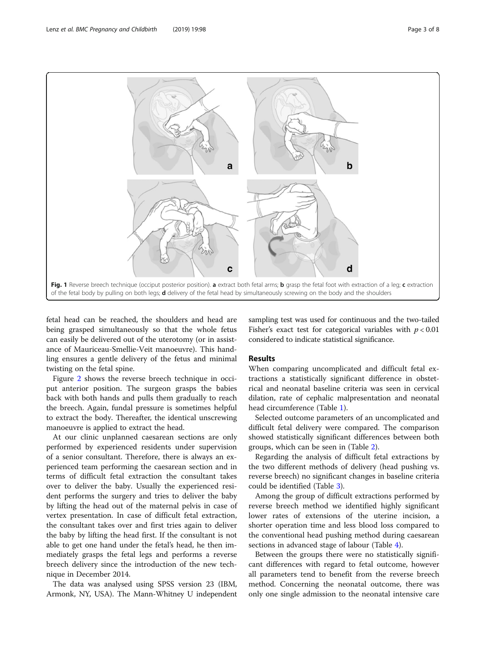<span id="page-2-0"></span>

fetal head can be reached, the shoulders and head are being grasped simultaneously so that the whole fetus can easily be delivered out of the uterotomy (or in assistance of Mauriceau-Smellie-Veit manoeuvre). This handling ensures a gentle delivery of the fetus and minimal twisting on the fetal spine.

Figure [2](#page-3-0) shows the reverse breech technique in occiput anterior position. The surgeon grasps the babies back with both hands and pulls them gradually to reach the breech. Again, fundal pressure is sometimes helpful to extract the body. Thereafter, the identical unscrewing manoeuvre is applied to extract the head.

At our clinic unplanned caesarean sections are only performed by experienced residents under supervision of a senior consultant. Therefore, there is always an experienced team performing the caesarean section and in terms of difficult fetal extraction the consultant takes over to deliver the baby. Usually the experienced resident performs the surgery and tries to deliver the baby by lifting the head out of the maternal pelvis in case of vertex presentation. In case of difficult fetal extraction, the consultant takes over and first tries again to deliver the baby by lifting the head first. If the consultant is not able to get one hand under the fetal's head, he then immediately grasps the fetal legs and performs a reverse breech delivery since the introduction of the new technique in December 2014.

The data was analysed using SPSS version 23 (IBM, Armonk, NY, USA). The Mann-Whitney U independent sampling test was used for continuous and the two-tailed Fisher's exact test for categorical variables with  $p < 0.01$ considered to indicate statistical significance.

#### Results

When comparing uncomplicated and difficult fetal extractions a statistically significant difference in obstetrical and neonatal baseline criteria was seen in cervical dilation, rate of cephalic malpresentation and neonatal head circumference (Table [1](#page-3-0)).

Selected outcome parameters of an uncomplicated and difficult fetal delivery were compared. The comparison showed statistically significant differences between both groups, which can be seen in (Table [2\)](#page-4-0).

Regarding the analysis of difficult fetal extractions by the two different methods of delivery (head pushing vs. reverse breech) no significant changes in baseline criteria could be identified (Table [3](#page-4-0)).

Among the group of difficult extractions performed by reverse breech method we identified highly significant lower rates of extensions of the uterine incision, a shorter operation time and less blood loss compared to the conventional head pushing method during caesarean sections in advanced stage of labour (Table [4\)](#page-5-0).

Between the groups there were no statistically significant differences with regard to fetal outcome, however all parameters tend to benefit from the reverse breech method. Concerning the neonatal outcome, there was only one single admission to the neonatal intensive care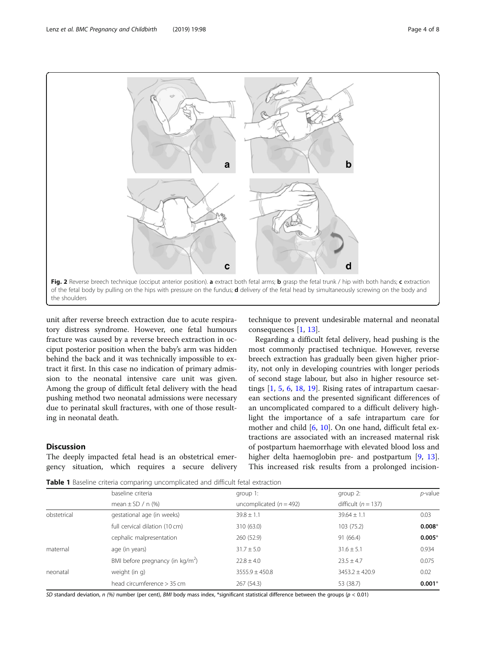<span id="page-3-0"></span>

unit after reverse breech extraction due to acute respiratory distress syndrome. However, one fetal humours fracture was caused by a reverse breech extraction in occiput posterior position when the baby's arm was hidden behind the back and it was technically impossible to extract it first. In this case no indication of primary admission to the neonatal intensive care unit was given. Among the group of difficult fetal delivery with the head pushing method two neonatal admissions were necessary due to perinatal skull fractures, with one of those resulting in neonatal death.

### **Discussion**

The deeply impacted fetal head is an obstetrical emergency situation, which requires a secure delivery

technique to prevent undesirable maternal and neonatal consequences [[1,](#page-6-0) [13\]](#page-7-0).

Regarding a difficult fetal delivery, head pushing is the most commonly practised technique. However, reverse breech extraction has gradually been given higher priority, not only in developing countries with longer periods of second stage labour, but also in higher resource settings [[1,](#page-6-0) [5](#page-7-0), [6](#page-7-0), [18,](#page-7-0) [19\]](#page-7-0). Rising rates of intrapartum caesarean sections and the presented significant differences of an uncomplicated compared to a difficult delivery highlight the importance of a safe intrapartum care for mother and child [\[6](#page-7-0), [10](#page-7-0)]. On one hand, difficult fetal extractions are associated with an increased maternal risk of postpartum haemorrhage with elevated blood loss and higher delta haemoglobin pre- and postpartum [[9,](#page-7-0) [13](#page-7-0)]. This increased risk results from a prolonged incision-

**Table 1** Baseline criteria comparing uncomplicated and difficult fetal extraction

|             | baseline criteria<br>mean $\pm$ SD / n (%) | group $1$ :<br>uncomplicated ( $n = 492$ ) | group $2$ :<br>difficult ( $n = 137$ ) | $p$ -value |
|-------------|--------------------------------------------|--------------------------------------------|----------------------------------------|------------|
|             |                                            |                                            |                                        |            |
| obstetrical | gestational age (in weeks)                 | $39.8 \pm 1.1$                             | $39.64 \pm 1.1$                        | 0.03       |
|             | full cervical dilation (10 cm)             | 310 (63.0)                                 | 103 (75.2)                             | $0.008*$   |
|             | cephalic malpresentation                   | 260(52.9)                                  | 91 (66.4)                              | $0.005*$   |
| maternal    | age (in years)                             | $31.7 \pm 5.0$                             | $31.6 \pm 5.1$                         | 0.934      |
|             | BMI before pregnancy (in $\text{kg/m}^2$ ) | $22.8 \pm 4.0$                             | $23.5 + 4.7$                           | 0.075      |
| neonatal    | weight (in g)                              | $3555.9 \pm 450.8$                         | $3453.2 \pm 420.9$                     | 0.02       |
|             | head circumference > 35 cm                 | 267(54.3)                                  | 53 (38.7)                              | $0.001*$   |

SD standard deviation,  $n$  (%) number (per cent), BMI body mass index, \*significant statistical difference between the groups ( $p < 0.01$ )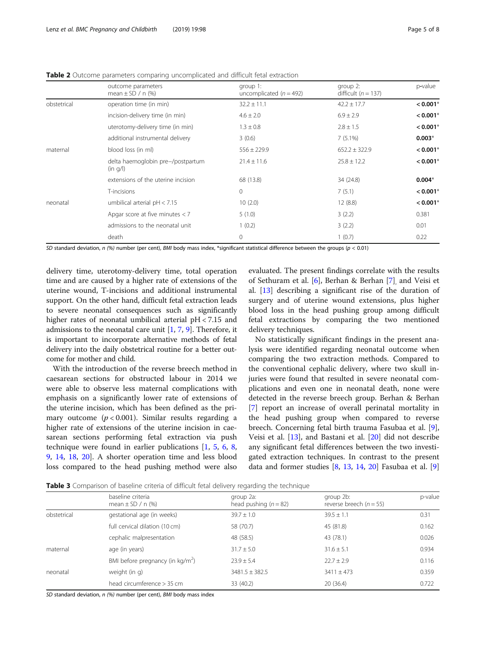|             | outcome parameters<br>mean $\pm$ SD / n (%)   | group 1:<br>uncomplicated ( $n = 492$ ) | group $2$ :<br>difficult ( $n = 137$ ) | p-value    |
|-------------|-----------------------------------------------|-----------------------------------------|----------------------------------------|------------|
| obstetrical | operation time (in min)                       | $32.2 \pm 11.1$                         | $42.2 \pm 17.7$                        | $< 0.001*$ |
|             | incision-delivery time (in min)               | $4.6 \pm 2.0$                           | $6.9 \pm 2.9$                          | $< 0.001*$ |
|             | uterotomy-delivery time (in min)              | $1.3 \pm 0.8$                           | $2.8 \pm 1.5$                          | $< 0.001*$ |
|             | additional instrumental delivery              | 3(0.6)                                  | $7(5.1\%)$                             | $0.003*$   |
| maternal    | blood loss (in ml)                            | $556 \pm 229.9$                         | $652.2 \pm 322.9$                      | $< 0.001*$ |
|             | delta haemoglobin pre-/postpartum<br>(in q/l) | $21.4 \pm 11.6$                         | $25.8 \pm 12.2$                        | $< 0.001*$ |
|             | extensions of the uterine incision            | 68 (13.8)                               | 34 (24.8)                              | $0.004*$   |
|             | T-incisions                                   | 0                                       | 7(5.1)                                 | $< 0.001*$ |
| neonatal    | umbilical arterial $pH < 7.15$                | 10(2.0)                                 | 12(8.8)                                | $< 0.001*$ |
|             | Apgar score at five minutes $<$ 7             | 5(1.0)                                  | 3(2.2)                                 | 0.381      |
|             | admissions to the neonatal unit               | 1(0.2)                                  | 3(2.2)                                 | 0.01       |
|             | death                                         | 0                                       | 1(0.7)                                 | 0.22       |

<span id="page-4-0"></span>Table 2 Outcome parameters comparing uncomplicated and difficult fetal extraction

SD standard deviation, n (%) number (per cent), BMI body mass index, \*significant statistical difference between the groups ( $p < 0.01$ )

delivery time, uterotomy-delivery time, total operation time and are caused by a higher rate of extensions of the uterine wound, T-incisions and additional instrumental support. On the other hand, difficult fetal extraction leads to severe neonatal consequences such as significantly higher rates of neonatal umbilical arterial pH < 7.15 and admissions to the neonatal care unit  $[1, 7, 9]$  $[1, 7, 9]$  $[1, 7, 9]$  $[1, 7, 9]$  $[1, 7, 9]$ . Therefore, it is important to incorporate alternative methods of fetal delivery into the daily obstetrical routine for a better outcome for mother and child.

With the introduction of the reverse breech method in caesarean sections for obstructed labour in 2014 we were able to observe less maternal complications with emphasis on a significantly lower rate of extensions of the uterine incision, which has been defined as the primary outcome  $(p < 0.001)$ . Similar results regarding a higher rate of extensions of the uterine incision in caesarean sections performing fetal extraction via push technique were found in earlier publications [\[1](#page-6-0), [5](#page-7-0), [6](#page-7-0), [8](#page-7-0), [9,](#page-7-0) [14,](#page-7-0) [18,](#page-7-0) [20\]](#page-7-0). A shorter operation time and less blood loss compared to the head pushing method were also

evaluated. The present findings correlate with the results of Sethuram et al. [[6\]](#page-7-0), Berhan & Berhan [[7](#page-7-0)], and Veisi et al. [[13\]](#page-7-0) describing a significant rise of the duration of surgery and of uterine wound extensions, plus higher blood loss in the head pushing group among difficult fetal extractions by comparing the two mentioned delivery techniques.

No statistically significant findings in the present analysis were identified regarding neonatal outcome when comparing the two extraction methods. Compared to the conventional cephalic delivery, where two skull injuries were found that resulted in severe neonatal complications and even one in neonatal death, none were detected in the reverse breech group. Berhan & Berhan [[7\]](#page-7-0) report an increase of overall perinatal mortality in the head pushing group when compared to reverse breech. Concerning fetal birth trauma Fasubaa et al. [\[9](#page-7-0)], Veisi et al. [[13\]](#page-7-0), and Bastani et al. [\[20\]](#page-7-0) did not describe any significant fetal differences between the two investigated extraction techniques. In contrast to the present data and former studies [\[8](#page-7-0), [13](#page-7-0), [14,](#page-7-0) [20](#page-7-0)] Fasubaa et al. [\[9](#page-7-0)]

**Table 3** Comparison of baseline criteria of difficult fetal delivery regarding the technique

|             | baseline criteria<br>mean $\pm$ SD / n (%) | group 2a:<br>head pushing $(n = 82)$ | group 2b:<br>reverse breech ( $n = 55$ ) | p-value |
|-------------|--------------------------------------------|--------------------------------------|------------------------------------------|---------|
| obstetrical | gestational age (in weeks)                 | $39.7 \pm 1.0$                       | $39.5 \pm 1.1$                           | 0.31    |
|             | full cervical dilation (10 cm)             | 58 (70.7)                            | 45 (81.8)                                | 0.162   |
|             | cephalic malpresentation                   | 48 (58.5)                            | 43 (78.1)                                | 0.026   |
| maternal    | age (in years)                             | $31.7 \pm 5.0$                       | $31.6 \pm 5.1$                           | 0.934   |
|             | BMI before pregnancy (in $\text{kg/m}^2$ ) | $23.9 + 5.4$                         | $22.7 + 2.9$                             | 0.116   |
| neonatal    | weight (in g)                              | $3481.5 \pm 382.5$                   | $3411 \pm 473$                           | 0.359   |
|             | head circumference > 35 cm                 | 33 (40.2)                            | 20(36.4)                                 | 0.722   |

SD standard deviation, n (%) number (per cent), BMI body mass index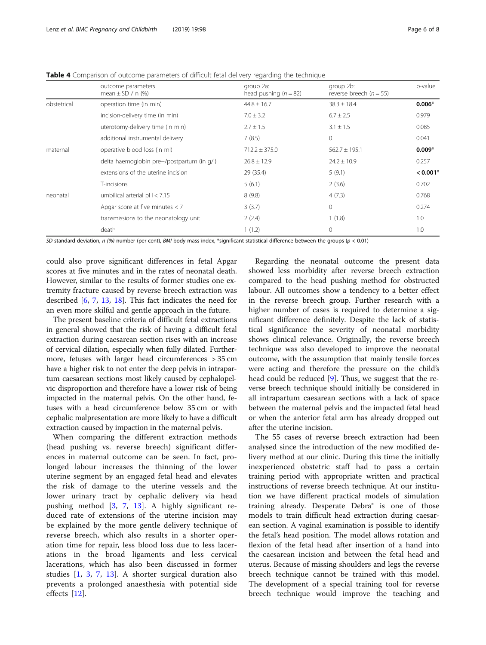<span id="page-5-0"></span>Table 4 Comparison of outcome parameters of difficult fetal delivery regarding the technique

|             | outcome parameters<br>mean $\pm$ SD / n (%) | group 2a:<br>head pushing $(n = 82)$ | group 2b:<br>reverse breech ( $n = 55$ ) | p-value    |
|-------------|---------------------------------------------|--------------------------------------|------------------------------------------|------------|
| obstetrical | operation time (in min)                     | $44.8 \pm 16.7$                      | $38.3 \pm 18.4$                          | $0.006*$   |
|             | incision-delivery time (in min)             | $7.0 \pm 3.2$                        | $6.7 \pm 2.5$                            | 0.979      |
|             | uterotomy-delivery time (in min)            | $2.7 \pm 1.5$                        | $3.1 \pm 1.5$                            | 0.085      |
|             | additional instrumental delivery            | 7(8.5)                               | $\mathbf{0}$                             | 0.041      |
| maternal    | operative blood loss (in ml)                | $712.2 \pm 375.0$                    | $562.7 \pm 195.1$                        | $0.009*$   |
|             | delta haemoglobin pre-/postpartum (in g/l)  | $26.8 \pm 12.9$                      | $24.2 \pm 10.9$                          | 0.257      |
|             | extensions of the uterine incision          | 29 (35.4)                            | 5(9.1)                                   | $< 0.001*$ |
|             | T-incisions                                 | 5(6.1)                               | 2(3.6)                                   | 0.702      |
| neonatal    | umbilical arterial $pH < 7.15$              | 8(9.8)                               | 4(7.3)                                   | 0.768      |
|             | Apgar score at five minutes $<$ 7           | 3(3.7)                               | $\mathbf{0}$                             | 0.274      |
|             | transmissions to the neonatology unit       | 2(2.4)                               | 1(1.8)                                   | 1.0        |
|             | death                                       | 1(1.2)                               | 0                                        | 1.0        |
|             |                                             |                                      |                                          |            |

SD standard deviation,  $n$  (%) number (per cent), BMI body mass index, \*significant statistical difference between the groups ( $p < 0.01$ )

could also prove significant differences in fetal Apgar scores at five minutes and in the rates of neonatal death. However, similar to the results of former studies one extremity fracture caused by reverse breech extraction was described [\[6](#page-7-0), [7](#page-7-0), [13,](#page-7-0) [18\]](#page-7-0). This fact indicates the need for an even more skilful and gentle approach in the future.

The present baseline criteria of difficult fetal extractions in general showed that the risk of having a difficult fetal extraction during caesarean section rises with an increase of cervical dilation, especially when fully dilated. Furthermore, fetuses with larger head circumferences > 35 cm have a higher risk to not enter the deep pelvis in intrapartum caesarean sections most likely caused by cephalopelvic disproportion and therefore have a lower risk of being impacted in the maternal pelvis. On the other hand, fetuses with a head circumference below 35 cm or with cephalic malpresentation are more likely to have a difficult extraction caused by impaction in the maternal pelvis.

When comparing the different extraction methods (head pushing vs. reverse breech) significant differences in maternal outcome can be seen. In fact, prolonged labour increases the thinning of the lower uterine segment by an engaged fetal head and elevates the risk of damage to the uterine vessels and the lower urinary tract by cephalic delivery via head pushing method [[3](#page-7-0), [7](#page-7-0), [13\]](#page-7-0). A highly significant reduced rate of extensions of the uterine incision may be explained by the more gentle delivery technique of reverse breech, which also results in a shorter operation time for repair, less blood loss due to less lacerations in the broad ligaments and less cervical lacerations, which has also been discussed in former studies [[1,](#page-6-0) [3,](#page-7-0) [7,](#page-7-0) [13\]](#page-7-0). A shorter surgical duration also prevents a prolonged anaesthesia with potential side effects [[12\]](#page-7-0).

Regarding the neonatal outcome the present data showed less morbidity after reverse breech extraction compared to the head pushing method for obstructed labour. All outcomes show a tendency to a better effect in the reverse breech group. Further research with a higher number of cases is required to determine a significant difference definitely. Despite the lack of statistical significance the severity of neonatal morbidity shows clinical relevance. Originally, the reverse breech technique was also developed to improve the neonatal outcome, with the assumption that mainly tensile forces were acting and therefore the pressure on the child's head could be reduced [[9](#page-7-0)]. Thus, we suggest that the reverse breech technique should initially be considered in all intrapartum caesarean sections with a lack of space between the maternal pelvis and the impacted fetal head or when the anterior fetal arm has already dropped out after the uterine incision.

The 55 cases of reverse breech extraction had been analysed since the introduction of the new modified delivery method at our clinic. During this time the initially inexperienced obstetric staff had to pass a certain training period with appropriate written and practical instructions of reverse breech technique. At our institution we have different practical models of simulation training already. Desperate Debra® is one of those models to train difficult head extraction during caesarean section. A vaginal examination is possible to identify the fetal's head position. The model allows rotation and flexion of the fetal head after insertion of a hand into the caesarean incision and between the fetal head and uterus. Because of missing shoulders and legs the reverse breech technique cannot be trained with this model. The development of a special training tool for reverse breech technique would improve the teaching and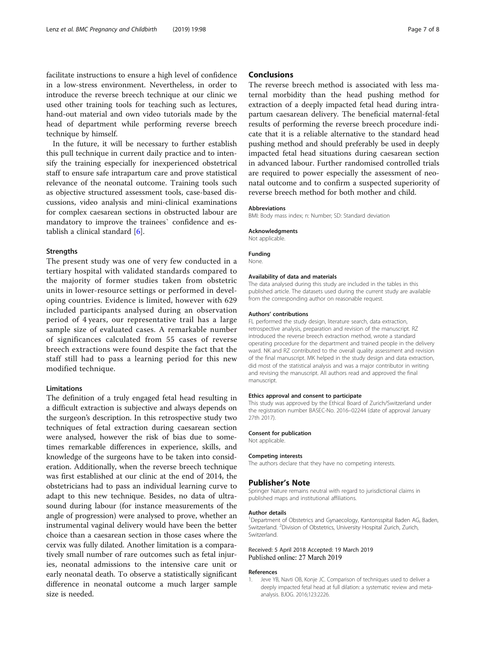<span id="page-6-0"></span>facilitate instructions to ensure a high level of confidence in a low-stress environment. Nevertheless, in order to introduce the reverse breech technique at our clinic we used other training tools for teaching such as lectures, hand-out material and own video tutorials made by the head of department while performing reverse breech technique by himself.

In the future, it will be necessary to further establish this pull technique in current daily practice and to intensify the training especially for inexperienced obstetrical staff to ensure safe intrapartum care and prove statistical relevance of the neonatal outcome. Training tools such as objective structured assessment tools, case-based discussions, video analysis and mini-clinical examinations for complex caesarean sections in obstructed labour are mandatory to improve the trainees` confidence and establish a clinical standard [\[6\]](#page-7-0).

#### **Strengths**

The present study was one of very few conducted in a tertiary hospital with validated standards compared to the majority of former studies taken from obstetric units in lower-resource settings or performed in developing countries. Evidence is limited, however with 629 included participants analysed during an observation period of 4 years, our representative trail has a large sample size of evaluated cases. A remarkable number of significances calculated from 55 cases of reverse breech extractions were found despite the fact that the staff still had to pass a learning period for this new modified technique.

#### Limitations

The definition of a truly engaged fetal head resulting in a difficult extraction is subjective and always depends on the surgeon's description. In this retrospective study two techniques of fetal extraction during caesarean section were analysed, however the risk of bias due to sometimes remarkable differences in experience, skills, and knowledge of the surgeons have to be taken into consideration. Additionally, when the reverse breech technique was first established at our clinic at the end of 2014, the obstetricians had to pass an individual learning curve to adapt to this new technique. Besides, no data of ultrasound during labour (for instance measurements of the angle of progression) were analysed to prove, whether an instrumental vaginal delivery would have been the better choice than a caesarean section in those cases where the cervix was fully dilated. Another limitation is a comparatively small number of rare outcomes such as fetal injuries, neonatal admissions to the intensive care unit or early neonatal death. To observe a statistically significant difference in neonatal outcome a much larger sample size is needed.

#### Conclusions

The reverse breech method is associated with less maternal morbidity than the head pushing method for extraction of a deeply impacted fetal head during intrapartum caesarean delivery. The beneficial maternal-fetal results of performing the reverse breech procedure indicate that it is a reliable alternative to the standard head pushing method and should preferably be used in deeply impacted fetal head situations during caesarean section in advanced labour. Further randomised controlled trials are required to power especially the assessment of neonatal outcome and to confirm a suspected superiority of reverse breech method for both mother and child.

#### Abbreviations

BMI: Body mass index; n: Number; SD: Standard deviation

#### Acknowledgments

Not applicable.

Funding

None.

#### Availability of data and materials

The data analysed during this study are included in the tables in this published article. The datasets used during the current study are available from the corresponding author on reasonable request.

#### Authors' contributions

FL performed the study design, literature search, data extraction, retrospective analysis, preparation and revision of the manuscript. RZ introduced the reverse breech extraction method, wrote a standard operating procedure for the department and trained people in the delivery ward. NK and RZ contributed to the overall quality assessment and revision of the final manuscript. MK helped in the study design and data extraction, did most of the statistical analysis and was a major contributor in writing and revising the manuscript. All authors read and approved the final manuscript.

#### Ethics approval and consent to participate

This study was approved by the Ethical Board of Zurich/Switzerland under the registration number BASEC-No. 2016–02244 (date of approval January 27th 2017).

#### Consent for publication

Not applicable.

#### Competing interests

The authors declare that they have no competing interests.

#### Publisher's Note

Springer Nature remains neutral with regard to jurisdictional claims in published maps and institutional affiliations.

#### Author details

<sup>1</sup>Department of Obstetrics and Gynaecology, Kantonsspital Baden AG, Baden, Switzerland. <sup>2</sup>Division of Obstetrics, University Hospital Zurich, Zurich, Switzerland.

#### Received: 5 April 2018 Accepted: 19 March 2019 Published online: 27 March 2019

#### References

Jeve YB, Navti OB, Konje JC. Comparison of techniques used to deliver a deeply impacted fetal head at full dilation: a systematic review and metaanalysis. BJOG. 2016;123:2226.